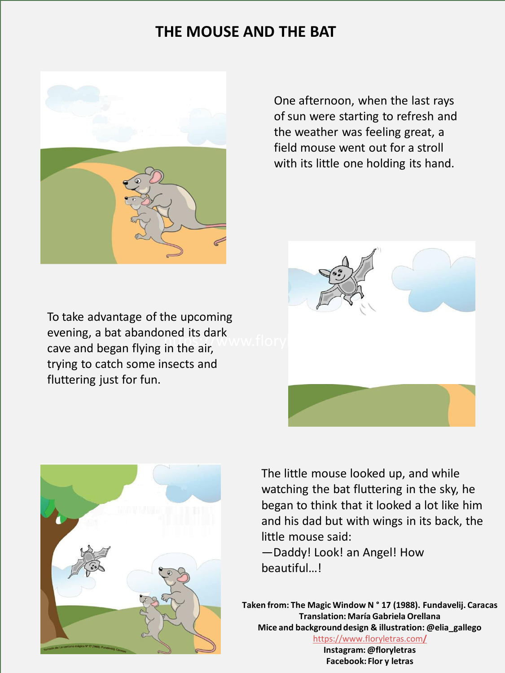## **THE MOUSE AND THE BAT**



One afternoon, when the last rays of sun were starting to refresh and the weather was feeling great, a field mouse went out for a stroll with its little one holding its hand.

evening, a bat abandoned its dark<br>cave and began flying in the air,  $WWW$ . flory To take advantage of the upcoming evening, a bat abandoned its dark trying to catch some insects and fluttering just for fun.





The little mouse looked up, and while watching the bat fluttering in the sky, he began to think that it looked a lot like him and his dad but with wings in its back, the little mouse said:

—Daddy! Look! an Angel! How beautiful…!

**Taken from: The Magic Window N ° 17 (1988). Fundavelij. Caracas Translation: María Gabriela Orellana Mice and background design & illustration: @elia\_gallego** [https://www.floryletras.com](https://www.floryletras.com/)**[/](https://www.floryletras.com/)**

**Instagram: @floryletras Facebook: Flor y letras**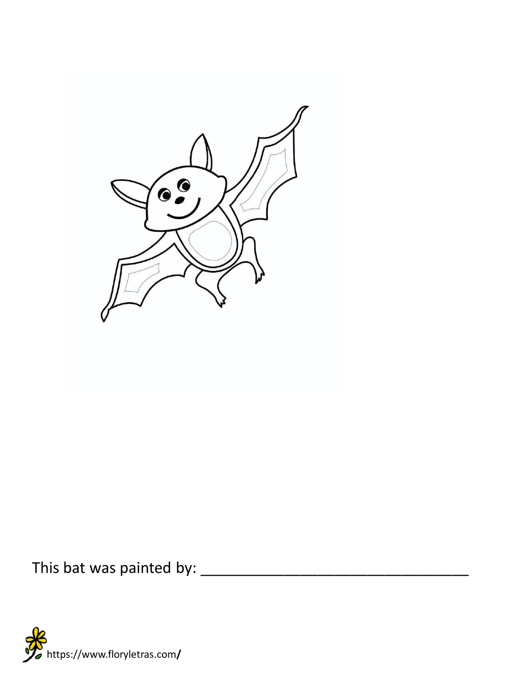

This bat was painted by: \_\_\_\_\_\_\_\_\_\_\_\_\_\_\_\_\_\_\_\_\_\_\_\_\_\_\_\_\_\_\_\_

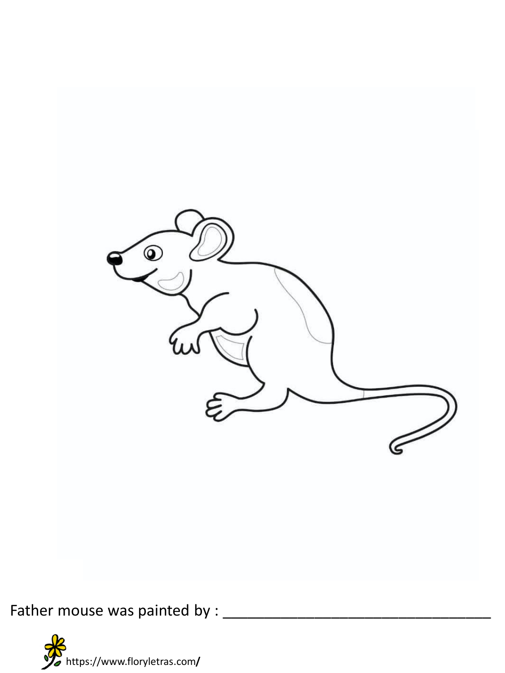

Father mouse was painted by : \_\_\_\_\_\_\_\_\_\_\_\_\_\_\_\_\_\_\_\_\_\_\_\_\_\_\_\_\_\_\_\_

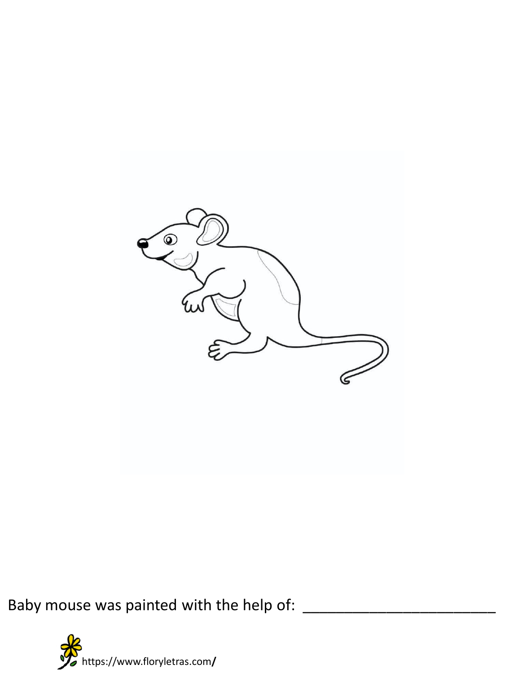

Baby mouse was painted with the help of: \_\_\_\_\_\_\_\_\_\_\_\_\_\_\_\_\_\_\_\_\_\_\_